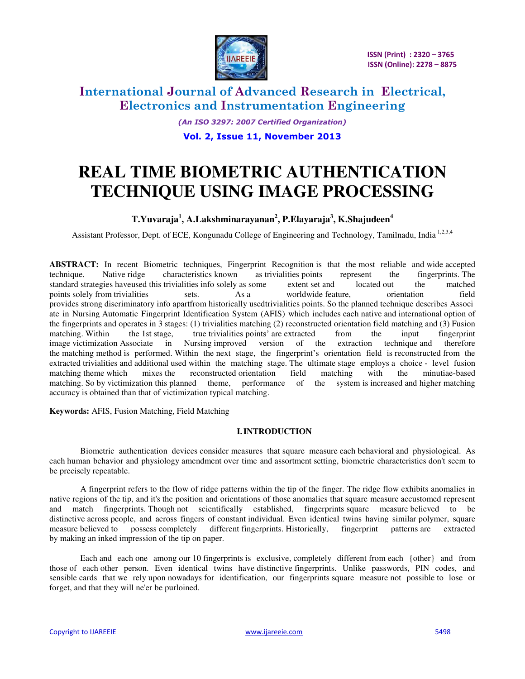

*(An ISO 3297: 2007 Certified Organization)* 

**Vol. 2, Issue 11, November 2013** 

# **REAL TIME BIOMETRIC AUTHENTICATION TECHNIQUE USING IMAGE PROCESSING**

### **T.Yuvaraja<sup>1</sup> , A.Lakshminarayanan<sup>2</sup> , P.Elayaraja<sup>3</sup> , K.Shajudeen<sup>4</sup>**

Assistant Professor, Dept. of ECE, Kongunadu College of Engineering and Technology, Tamilnadu, India<sup>1,2,3,4</sup>

**ABSTRACT:** In recent Biometric techniques, Fingerprint Recognition is that the most reliable and wide accepted technique. Native ridge characteristics known as trivialities points represent the fingerprints. The standard strategies have used this trivialities info solely as some extent set and located out the matched standard strategies haveused this trivialities info solely as some extent set and located out the matched points solely from trivialities sets. As a worldwide feature, orientation field provides strong discriminatory info apartfrom historically usedtrivialities points. So the planned technique describes Associ ate in Nursing Automatic Fingerprint Identification System (AFIS) which includes each native and international option of the fingerprints and operates in 3 stages: (1) trivialities matching (2) reconstructed orientation field matching and (3) Fusion matching. Within the 1st stage, true trivialities points' are extracted from the input fingerprint image victimization Associate in Nursing improved version of the extraction technique and therefore the matching method is performed. Within the next stage, the fingerprint's orientation field is reconstructed from the extracted trivialities and additional used within the matching stage. The ultimate stage employs a choice - level fusion matching theme which mixes the reconstructed orientation field matching with the minutiae-based matching. So by victimization this planned theme, performance of the system is increased and higher matching theme, performance of the system is increased and higher matching accuracy is obtained than that of victimization typical matching.

**Keywords:** AFIS, Fusion Matching, Field Matching

#### **I.INTRODUCTION**

Biometric authentication devices consider measures that square measure each behavioral and physiological. As each human behavior and physiology amendment over time and assortment setting, biometric characteristics don't seem to be precisely repeatable.

A fingerprint refers to the flow of ridge patterns within the tip of the finger. The ridge flow exhibits anomalies in native regions of the tip, and it's the position and orientations of those anomalies that square measure accustomed represent and match fingerprints. Though not scientifically established, fingerprints square measure believed to be distinctive across people, and across fingers of constant individual. Even identical twins having similar polymer, square measure believed to possess completely different fingerprints. Historically, fingerprint patterns are extracted by making an inked impression of the tip on paper.

Each and each one among our 10 fingerprints is exclusive, completely different from each {other} and from those of each other person. Even identical twins have distinctive fingerprints. Unlike passwords, PIN codes, and sensible cards that we rely upon nowadays for identification, our fingerprints square measure not possible to lose or forget, and that they will ne'er be purloined.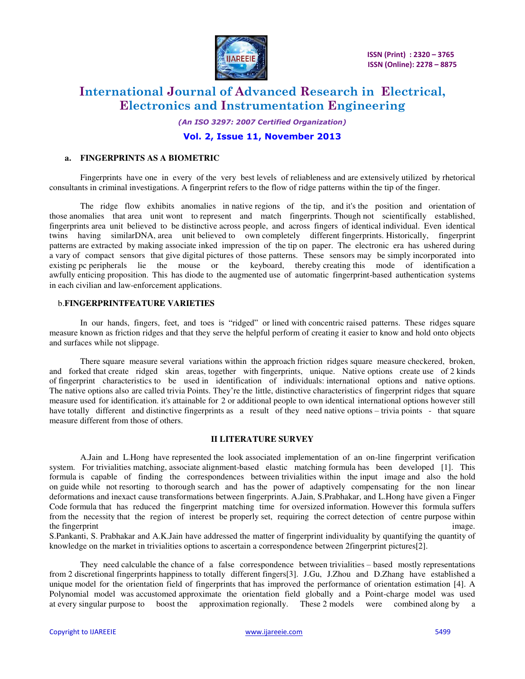

 **ISSN (Print) : 2320 – 3765 ISSN (Online): 2278 – 8875**

# **International Journal of Advanced Research in Electrical, Electronics and Instrumentation Engineering**

*(An ISO 3297: 2007 Certified Organization)* 

#### **Vol. 2, Issue 11, November 2013**

#### **a. FINGERPRINTS AS A BIOMETRIC**

 Fingerprints have one in every of the very best levels of reliableness and are extensively utilized by rhetorical consultants in criminal investigations. A fingerprint refers to the flow of ridge patterns within the tip of the finger.

The ridge flow exhibits anomalies in native regions of the tip, and it's the position and orientation of those anomalies that area unit wont to represent and match fingerprints. Though not scientifically established, fingerprints area unit believed to be distinctive across people, and across fingers of identical individual. Even identical twins having similarDNA, area unit believed to own completely different fingerprints. Historically, fingerprint patterns are extracted by making associate inked impression of the tip on paper. The electronic era has ushered during a vary of compact sensors that give digital pictures of those patterns. These sensors may be simply incorporated into existing pc peripherals lie the mouse or the keyboard, thereby creating this mode of identification a awfully enticing proposition. This has diode to the augmented use of automatic fingerprint-based authentication systems in each civilian and law-enforcement applications.

#### b.**FINGERPRINTFEATURE VARIETIES**

 In our hands, fingers, feet, and toes is "ridged" or lined with concentric raised patterns. These ridges square measure known as friction ridges and that they serve the helpful perform of creating it easier to know and hold onto objects and surfaces while not slippage.

There square measure several variations within the approach friction ridges square measure checkered, broken, and forked that create ridged skin areas, together with fingerprints, unique. Native options create use of 2 kinds of fingerprint characteristics to be used in identification of individuals: international options and native options. The native options also are called trivia Points. They're the little, distinctive characteristics of fingerprint ridges that square measure used for identification. it's attainable for 2 or additional people to own identical international options however still have totally different and distinctive fingerprints as a result of they need native options – trivia points - that square measure different from those of others.

#### **II LITERATURE SURVEY**

A.Jain and L.Hong have represented the look associated implementation of an on-line fingerprint verification system. For trivialities matching, associate alignment-based elastic matching formula has been developed [1]. This formula is capable of finding the correspondences between trivialities within the input image and also the hold on guide while not resorting to thorough search and has the power of adaptively compensating for the non linear deformations and inexact cause transformations between fingerprints. A.Jain, S.Prabhakar, and L.Hong have given a Finger Code formula that has reduced the fingerprint matching time for oversized information. However this formula suffers from the necessity that the region of interest be properly set, requiring the correct detection of centre purpose within the fingerprint image.

S.Pankanti, S. Prabhakar and A.K.Jain have addressed the matter of fingerprint individuality by quantifying the quantity of knowledge on the market in trivialities options to ascertain a correspondence between 2fingerprint pictures[2].

They need calculable the chance of a false correspondence between trivialities – based mostly representations from 2 discretional fingerprints happiness to totally different fingers[3]. J.Gu, J.Zhou and D.Zhang have established a unique model for the orientation field of fingerprints that has improved the performance of orientation estimation [4]. A Polynomial model was accustomed approximate the orientation field globally and a Point-charge model was used at every singular purpose to boost the approximation regionally. These 2 models were combined along by a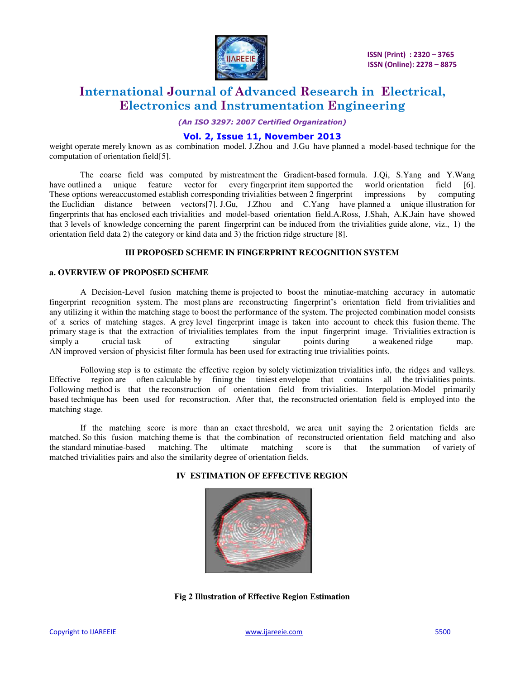

*(An ISO 3297: 2007 Certified Organization)* 

### **Vol. 2, Issue 11, November 2013**

weight operate merely known as as combination model. J.Zhou and J.Gu have planned a model-based technique for the computation of orientation field[5].

The coarse field was computed by mistreatment the Gradient-based formula. J.Qi, S.Yang and Y.Wang have outlined a unique feature vector for every fingerprint item supported the world orientation field [6]. These options wereaccustomed establish corresponding trivialities between 2 fingerprint impressions by computing the Euclidian distance between vectors[7]. J.Gu, J.Zhou and C.Yang have planned a unique illustration for fingerprints that has enclosed each trivialities and model-based orientation field.A.Ross, J.Shah, A.K.Jain have showed that 3 levels of knowledge concerning the parent fingerprint can be induced from the trivialities guide alone, viz., 1) the orientation field data 2) the category or kind data and 3) the friction ridge structure [8].

### **III PROPOSED SCHEME IN FINGERPRINT RECOGNITION SYSTEM**

#### **a. OVERVIEW OF PROPOSED SCHEME**

A Decision-Level fusion matching theme is projected to boost the minutiae-matching accuracy in automatic fingerprint recognition system. The most plans are reconstructing fingerprint's orientation field from trivialities and any utilizing it within the matching stage to boost the performance of the system. The projected combination model consists of a series of matching stages. A grey level fingerprint image is taken into account to check this fusion theme. The primary stage is that the extraction of trivialities templates from the input fingerprint image. Trivialities extraction is simply a crucial task of extracting singular points during a weakened ridge map. AN improved version of physicist filter formula has been used for extracting true trivialities points.

Following step is to estimate the effective region by solely victimization trivialities info, the ridges and valleys. Effective region are often calculable by fining the tiniest envelope that contains all the trivialities points. Following method is that the reconstruction of orientation field from trivialities. Interpolation-Model primarily based technique has been used for reconstruction. After that, the reconstructed orientation field is employed into the matching stage.

If the matching score is more than an exact threshold, we area unit saying the 2 orientation fields are matched. So this fusion matching theme is that the combination of reconstructed orientation field matching and also<br>the standard minutiae-based matching. The ultimate matching score is that the summation of variety of the standard minutiae-based matching. The ultimate matching score is that the summation of variety of matched trivialities pairs and also the similarity degree of orientation fields.



#### **IV ESTIMATION OF EFFECTIVE REGION**

**Fig 2 Illustration of Effective Region Estimation**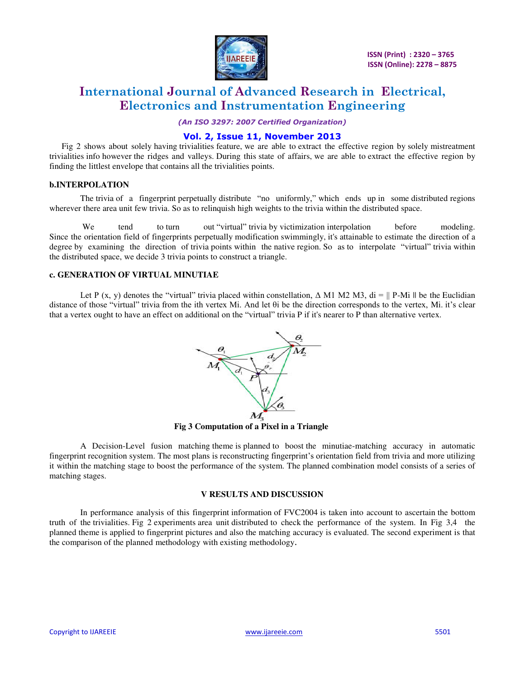

*(An ISO 3297: 2007 Certified Organization)* 

#### **Vol. 2, Issue 11, November 2013**

Fig 2 shows about solely having trivialities feature, we are able to extract the effective region by solely mistreatment trivialities info however the ridges and valleys. During this state of affairs, we are able to extract the effective region by finding the littlest envelope that contains all the trivialities points.

#### **b.INTERPOLATION**

The trivia of a fingerprint perpetually distribute "no uniformly," which ends up in some distributed regions wherever there area unit few trivia. So as to relinquish high weights to the trivia within the distributed space.

We tend to turn out "virtual" trivia by victimization interpolation before modeling. Since the orientation field of fingerprints perpetually modification swimmingly, it's attainable to estimate the direction of a degree by examining the direction of trivia points within the native region. So as to interpolate "virtual" trivia within the distributed space, we decide 3 trivia points to construct a triangle.

#### **c. GENERATION OF VIRTUAL MINUTIAE**

Let P (x, y) denotes the "virtual" trivia placed within constellation,  $\Delta$  M1 M2 M3, di = || P-Mi || be the Euclidian distance of those "virtual" trivia from the ith vertex Mi. And let θi be the direction corresponds to the vertex, Mi. it's clear that a vertex ought to have an effect on additional on the "virtual" trivia P if it's nearer to P than alternative vertex.



 **Fig 3 Computation of a Pixel in a Triangle** 

A Decision-Level fusion matching theme is planned to boost the minutiae-matching accuracy in automatic fingerprint recognition system. The most plans is reconstructing fingerprint's orientation field from trivia and more utilizing it within the matching stage to boost the performance of the system. The planned combination model consists of a series of matching stages.

#### **V RESULTS AND DISCUSSION**

In performance analysis of this fingerprint information of FVC2004 is taken into account to ascertain the bottom truth of the trivialities. Fig 2 experiments area unit distributed to check the performance of the system. In Fig 3,4 the planned theme is applied to fingerprint pictures and also the matching accuracy is evaluated. The second experiment is that the comparison of the planned methodology with existing methodology.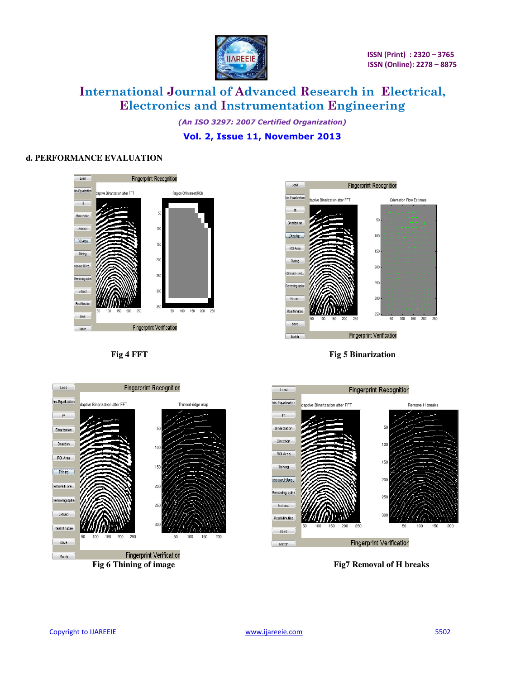

*(An ISO 3297: 2007 Certified Organization)* 

### **Vol. 2, Issue 11, November 2013**

#### **d. PERFORMANCE EVALUATION**





**Fig 4 FFT Fig 5 Binarization** 



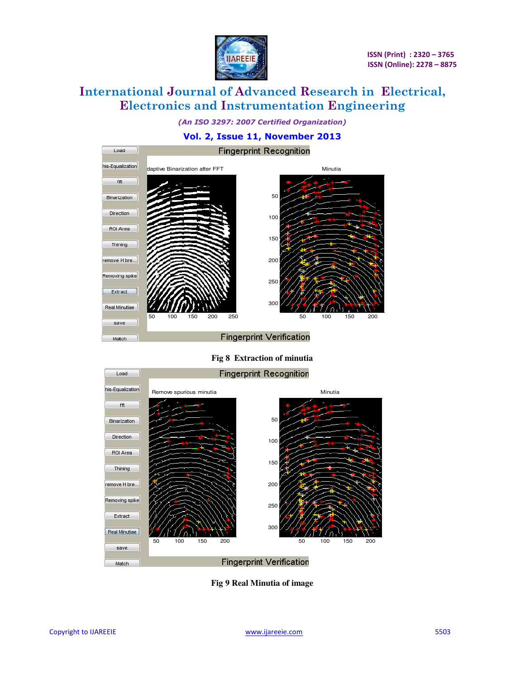

*(An ISO 3297: 2007 Certified Organization)* 

### **Vol. 2, Issue 11, November 2013**



**Fig 8 Extraction of minutia** 



**Fig 9 Real Minutia of image**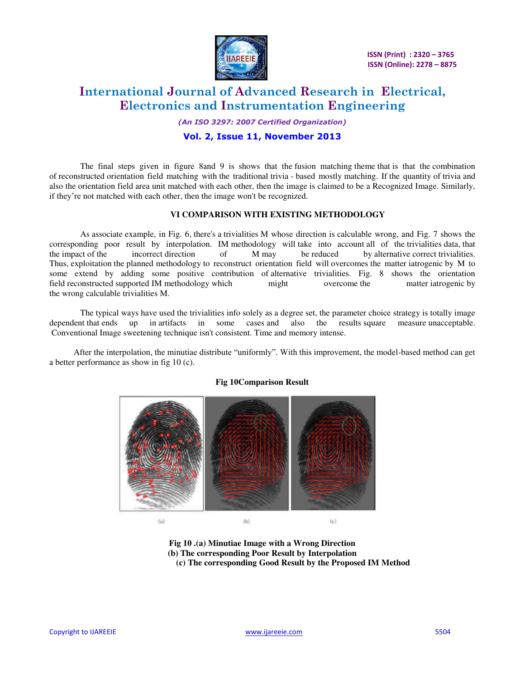

 **ISSN (Print) : 2320 – 3765 ISSN (Online): 2278 – 8875**

# **International Journal of Advanced Research in Electrical, Electronics and Instrumentation Engineering**

*(An ISO 3297: 2007 Certified Organization)* 

#### **Vol. 2, Issue 11, November 2013**

The final steps given in figure 8and 9 is shows that the fusion matching theme that is that the combination of reconstructed orientation field matching with the traditional trivia - based mostly matching. If the quantity of trivia and also the orientation field area unit matched with each other, then the image is claimed to be a Recognized Image. Similarly, if they're not matched with each other, then the image won't be recognized.

#### **VI COMPARISON WITH EXISTING METHODOLOGY**

As associate example, in Fig. 6, there's a trivialities M whose direction is calculable wrong, and Fig. 7 shows the corresponding poor result by interpolation. IM methodology will take into account all of the trivialities data, that the impact of the incorrect direction of M may be reduced by alternative correct trivialities. by alternative correct trivialities. Thus, exploitation the planned methodology to reconstruct orientation field will overcomes the matter iatrogenic by M to some extend by adding some positive contribution of alternative trivialities. Fig. 8 shows the orientation field reconstructed supported IM methodology which might overcome the matter iatrogenic by the wrong calculable trivialities M.

The typical ways have used the trivialities info solely as a degree set, the parameter choice strategy is totally image dependent that ends up in artifacts in some cases and also the results square measure unacceptable. Conventional Image sweetening technique isn't consistent. Time and memory intense.

After the interpolation, the minutiae distribute "uniformly". With this improvement, the model-based method can get a better performance as show in fig 10 (c).



#### **Fig 10Comparison Result**

**Fig 10 .(a) Minutiae Image with a Wrong Direction (b) The corresponding Poor Result by Interpolation (c) The corresponding Good Result by the Proposed IM Method**